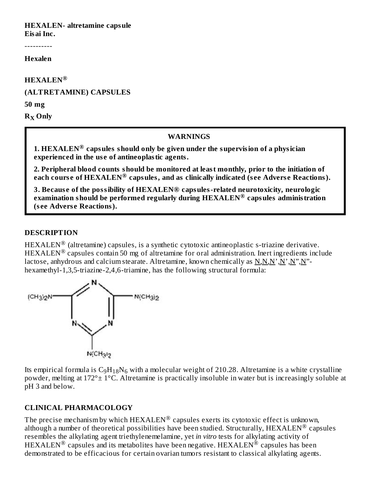## **HEXALEN- altretamine capsule**

**Eisai Inc.**

----------

**Hexalen**

**HEXALEN ®**

#### **(ALTRETAMINE) CAPSULES**

**50 mg**

 $R_X$  Only

#### **WARNINGS**

**1. HEXALEN capsules should only be given under the supervision of a physician ® experienced in the us e of antineoplastic agents.**

**2. Peripheral blood counts should be monitored at least monthly, prior to the initiation of each cours e of HEXALEN capsules, and as clinically indicated (s ee Advers e Reactions). ®**

**3. Becaus e of the possibility of HEXALEN® capsules-related neurotoxicity, neurologic examination should be performed regularly during HEXALEN capsules administration ® (s ee Advers e Reactions).**

#### **DESCRIPTION**

 $\text{HEXALEN}^{\circledR}$  (altretamine) capsules, is a synthetic cytotoxic antineoplastic s-triazine derivative.  $HEXALEN<sup>®</sup>$  capsules contain 50 mg of altretamine for oral administration. Inert ingredients include lactose, anhydrous and calcium stearate. Altretamine, known chemically as N,N,N',N',N'',N''hexamethyl-1,3,5-triazine-2,4,6-triamine, has the following structural formula:



Its empirical formula is  $\rm{C_9H_{18}N_6}$  with a molecular weight of 210.28. Altretamine is a white crystalline powder, melting at 172°± 1°C. Altretamine is practically insoluble in water but is increasingly soluble at pH 3 and below.

## **CLINICAL PHARMACOLOGY**

The precise mechanism by which  $\text{HEXALEN}^{\circledR}$  capsules exerts its cytotoxic effect is unknown, although a number of theoretical possibilities have been studied. Structurally,  ${\rm HEXALEN}^{\circledR}$  capsules resembles the alkylating agent triethylenemelamine, yet *in vitro* tests for alkylating activity of  $\text{HEXALEN}^{\circledR}$  capsules and its metabolites have been negative. HEXALEN $^{\circledR}$  capsules has been demonstrated to be efficacious for certain ovarian tumors resistant to classical alkylating agents.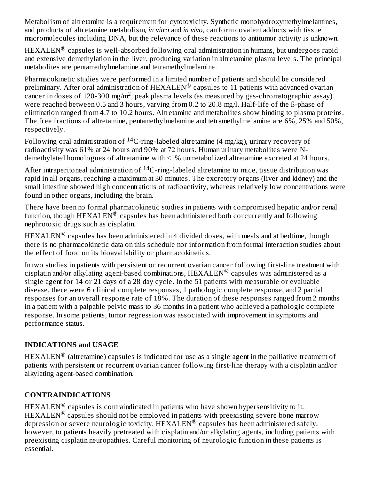Metabolism of altretamine is a requirement for cytotoxicity. Synthetic monohydroxymethylmelamines, and products of altretamine metabolism, *in vitro* and *in vivo*, can form covalent adducts with tissue macromolecules including DNA, but the relevance of these reactions to antitumor activity is unknown.

 $\text{HEXALEN}^{\circledR}$  capsules is well-absorbed following oral administration in humans, but undergoes rapid and extensive demethylation in the liver, producing variation in altretamine plasma levels. The principal metabolites are pentamethylmelamine and tetramethylmelamine.

Pharmacokinetic studies were performed in a limited number of patients and should be considered preliminary. After oral administration of  $\text{HEXALEN}^{\circledR}$  capsules to 11 patients with advanced ovarian cancer in doses of 120-300 mg/m<sup>2</sup>, peak plasma levels (as measured by gas-chromatographic assay) were reached between 0.5 and 3 hours, varying from 0.2 to 20.8 mg/l. Half-life of the ß-phase of elimination ranged from 4.7 to 10.2 hours. Altretamine and metabolites show binding to plasma proteins. The free fractions of altretamine, pentamethylmelamine and tetramethylmelamine are 6%, 25% and 50%, respectively.

Following oral administration of  $\rm ^{14}C\text{-}ring\text{-}labeled$  altretamine (4 mg/kg), urinary recovery of radioactivity was 61% at 24 hours and 90% at 72 hours. Human urinary metabolites were Ndemethylated homologues of altretamine with <1% unmetabolized altretamine excreted at 24 hours.

After intraperitoneal administration of  $^{14}$ C-ring-labeled altretamine to mice, tissue distribution was rapid in all organs, reaching a maximum at 30 minutes. The excretory organs (liver and kidney) and the small intestine showed high concentrations of radioactivity, whereas relatively low concentrations were found in other organs, including the brain.

There have been no formal pharmacokinetic studies in patients with compromised hepatic and/or renal function, though  $\text{HEXALEN}^{\circledR}$  capsules has been administered both concurrently and following nephrotoxic drugs such as cisplatin.

 $\text{HEXALEN}^{\circledR}$  capsules has been administered in 4 divided doses, with meals and at bedtime, though there is no pharmacokinetic data on this schedule nor information from formal interaction studies about the effect of food on its bioavailability or pharmacokinetics.

In two studies in patients with persistent or recurrent ovarian cancer following first-line treatment with cisplatin and/or alkylating agent-based combinations,  ${\rm HEXALEN}^{\circledR}$  capsules was administered as a single agent for 14 or 21 days of a 28 day cycle. In the 51 patients with measurable or evaluable disease, there were 6 clinical complete responses, 1 pathologic complete response, and 2 partial responses for an overall response rate of 18%. The duration of these responses ranged from 2 months in a patient with a palpable pelvic mass to 36 months in a patient who achieved a pathologic complete response. In some patients, tumor regression was associated with improvement in symptoms and performance status.

## **INDICATIONS and USAGE**

 $\text{HEXALEN}^{\circledR}$  (altretamine) capsules is indicated for use as a single agent in the palliative treatment of patients with persistent or recurrent ovarian cancer following first-line therapy with a cisplatin and/or alkylating agent-based combination.

## **CONTRAINDICATIONS**

 $\text{HEXALEN}^{\circledR}$  capsules is contraindicated in patients who have shown hypersensitivity to it.  $HEXALEN<sup>®</sup>$  capsules should not be employed in patients with preexisting severe bone marrow depression or severe neurologic toxicity.  $\text{HEXALEN}^{\circledR}$  capsules has been administered safely, however, to patients heavily pretreated with cisplatin and/or alkylating agents, including patients with preexisting cisplatin neuropathies. Careful monitoring of neurologic function in these patients is essential.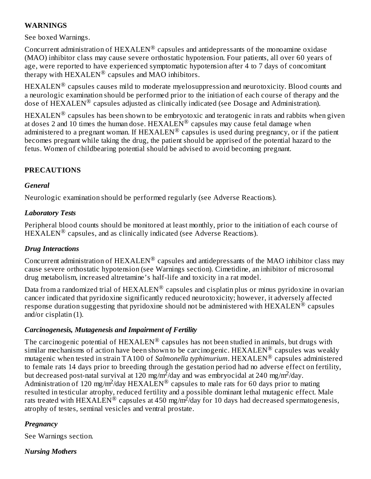#### **WARNINGS**

See boxed Warnings.

Concurrent administration of  $\text{HEXALEN}^{\circledR}$  capsules and antidepressants of the monoamine oxidase (MAO) inhibitor class may cause severe orthostatic hypotension. Four patients, all over 60 years of age, were reported to have experienced symptomatic hypotension after 4 to 7 days of concomitant therapy with  $HEXALEN^{\circledR}$  capsules and MAO inhibitors.

 $\text{HEXALEN}^{\circledR}$  capsules causes mild to moderate myelosuppression and neurotoxicity. Blood counts and a neurologic examination should be performed prior to the initiation of each course of therapy and the dose of  $\widetilde{\text{HEXALEN}}^{\circledR}$  capsules adjusted as clinically indicated (see Dosage and Administration).

 $\text{HEXALEN}^{\circledR}$  capsules has been shown to be embryotoxic and teratogenic in rats and rabbits when given at doses 2 and 10 times the human dose.  ${\rm HEXALEN}^{\circledR}$  capsules may cause fetal damage when administered to a pregnant woman. If  $\text{HEXALEN}^{\circledR}$  capsules is used during pregnancy, or if the patient becomes pregnant while taking the drug, the patient should be apprised of the potential hazard to the fetus. Women of childbearing potential should be advised to avoid becoming pregnant.

## **PRECAUTIONS**

#### *General*

Neurologic examination should be performed regularly (see Adverse Reactions).

#### *Laboratory Tests*

Peripheral blood counts should be monitored at least monthly, prior to the initiation of each course of  $HEXALEN^@$  capsules, and as clinically indicated (see Adverse Reactions).

#### *Drug Interactions*

Concurrent administration of  $\text{HEXALEN}^{\circledR}$  capsules and antidepressants of the MAO inhibitor class may cause severe orthostatic hypotension (see Warnings section). Cimetidine, an inhibitor of microsomal drug metabolism, increased altretamine's half-life and toxicity in a rat model.

Data from a randomized trial of  ${\rm HEXALEN}^{\circledR}$  capsules and cisplatin plus or minus pyridoxine in ovarian cancer indicated that pyridoxine significantly reduced neurotoxicity; however, it adversely affected response duration suggesting that pyridoxine should not be administered with  $\text{HEXALEN}^{\textcircled{\text{R}}}$  capsules and/or cisplatin (1).

#### *Carcinogenesis, Mutagenesis and Impairment of Fertility*

The carcinogenic potential of  ${\rm HEXALEN}^{\circledR}$  capsules has not been studied in animals, but drugs with similar mechanisms of action have been shown to be carcinogenic. HEXALEN® capsules was weakly mutagenic when tested in strain TA100 of *Salmonella typhimurium*. HEXALEN® capsules administered to female rats 14 days prior to breeding through the gestation period had no adverse effect on fertility, but decreased post-natal survival at 120 mg/m<sup>2</sup>/day and was embryocidal at 240 mg/m<sup>2</sup>/day. Administration of 120 mg/m<sup>2</sup>/day HEXALEN<sup>®</sup> capsules to male rats for 60 days prior to mating resulted in testicular atrophy, reduced fertility and a possible dominant lethal mutagenic effect. Male rats treated with HEXALEN® capsules at 450 mg/m<sup>2</sup>/day for 10 days had decreased spermatogenesis, atrophy of testes, seminal vesicles and ventral prostate.

## *Pregnancy*

See Warnings section.

## *Nursing Mothers*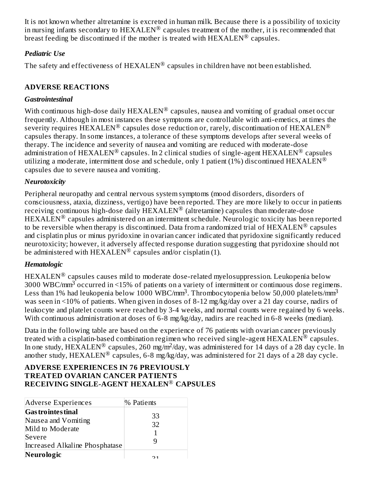It is not known whether altretamine is excreted in human milk. Because there is a possibility of toxicity in nursing infants secondary to  $\text{HEXALEN}^{\circledR}$  capsules treatment of the mother, it is recommended that breast feeding be discontinued if the mother is treated with  $\text{HEXALEN}^{\textcircledR}$  capsules.

#### *Pediatric Use*

The safety and effectiveness of  $\text{HEXALEN}^{\circledR}$  capsules in children have not been established.

## **ADVERSE REACTIONS**

#### *Gastrointestinal*

With continuous high-dose daily  ${\rm HEXALEN}^{\circledR}$  capsules, nausea and vomiting of gradual onset occur frequently. Although in most instances these symptoms are controllable with anti-emetics, at times the severity requires  $\widetilde{\text{HEXALEN}}^{\circledR}$  capsules dose reduction or, rarely, discontinuation of  $\text{HEXALEN}^{\circledR}$ capsules therapy. In some instances, a tolerance of these symptoms develops after several weeks of therapy. The incidence and severity of nausea and vomiting are reduced with moderate-dose administration of  ${\rm HEXALEN}^{\circledR}$  capsules. In 2 clinical studies of single-agent  ${\rm HEXALEN}^{\circledR}$  capsules utilizing a moderate, intermittent dose and schedule, only 1 patient (1%) discontinued HEXALEN® capsules due to severe nausea and vomiting.

## *Neurotoxicity*

Peripheral neuropathy and central nervous system symptoms (mood disorders, disorders of consciousness, ataxia, dizziness, vertigo) have been reported. They are more likely to occur in patients receiving continuous high-dose daily  $\widehat{\text{HEXALEN}}^{\circledR}$  (altretamine) capsules than moderate-dose  $\rm HEXALEN^{\circledR}$  capsules administered on an intermittent schedule. Neurologic toxicity has been reported to be reversible when therapy is discontinued. Data from a randomized trial of  $\text{HEXALEN}^{\circledR}$  capsules and cisplatin plus or minus pyridoxine in ovarian cancer indicated that pyridoxine significantly reduced neurotoxicity; however, it adversely affected response duration suggesting that pyridoxine should not be administered with HEXALEN® capsules and/or cisplatin (1).

## *Hematologic*

 $\text{HEXALEN}^{\circledR}$  capsules causes mild to moderate dose-related myelosuppression. Leukopenia below 3000 WBC/mm<sup>3</sup> occurred in <15% of patients on a variety of intermittent or continuous dose regimens. Less than 1% had leukopenia below 1000 WBC/mm<sup>3</sup>. Thrombocytopenia below 50,000 platelets/mm<sup>3</sup> was seen in <10% of patients. When given in doses of 8-12 mg/kg/day over a 21 day course, nadirs of leukocyte and platelet counts were reached by 3-4 weeks, and normal counts were regained by 6 weeks. With continuous administration at doses of 6-8 mg/kg/day, nadirs are reached in 6-8 weeks (median).

Data in the following table are based on the experience of 76 patients with ovarian cancer previously treated with a cisplatin-based combination regimen who received single-agent  ${\rm HEXALEN}^{\circledR}$  capsules. In one study,  $\text{HEXALEN}^{\circledR}$  capsules, 260 mg/m<sup>2</sup>/day, was administered for 14 days of a 28 day cycle. In another study,  $\text{HEXALEN}^{\circledR}$  capsules, 6-8 mg/kg/day, was administered for 21 days of a 28 day cycle.

#### **ADVERSE EXPERIENCES IN 76 PREVIOUSLY TREATED OVARIAN CANCER PATIENTS RECEIVING SINGLE-AGENT HEXALEN CAPSULES** ®

| Adverse Experiences                                                  | % Patients |  |
|----------------------------------------------------------------------|------------|--|
| <b>Gas trointes tinal</b><br>Nausea and Vomiting<br>Mild to Moderate | 33<br>32   |  |
| Severe<br>Increased Alkaline Phosphatase                             |            |  |
| Neurologic                                                           | า 1        |  |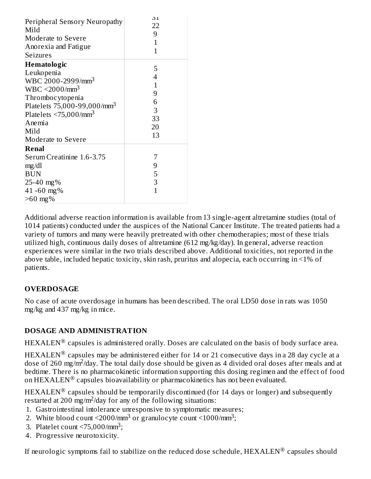| Peripheral Sensory Neuropathy<br>Mild<br><b>Moderate to Severe</b><br>Anorexia and Fatigue<br><b>Seizures</b>                                                                                                                                              | 51<br>22<br>9<br>1<br>$\mathbf{1}$                        |
|------------------------------------------------------------------------------------------------------------------------------------------------------------------------------------------------------------------------------------------------------------|-----------------------------------------------------------|
| Hematologic<br>Leukopenia<br>WBC 2000-2999/mm <sup>3</sup><br>WBC < 2000/mm <sup>3</sup><br>Thrombocytopenia<br>Platelets $75,000 - 99,000 / \text{mm}^3$<br>Platelets $\langle 75,000/\text{mm}^3 \rangle$<br>Anemia<br>Mild<br><b>Moderate to Severe</b> | 5<br>4<br>$\overline{1}$<br>9<br>6<br>3<br>33<br>20<br>13 |
| Renal<br>Serum Creatinine 1.6-3.75<br>mg/dl<br><b>BUN</b><br>25-40 mg%<br>41-60 mg%<br>$>60$ mg%                                                                                                                                                           | 7<br>9<br>5<br>3<br>1                                     |

Additional adverse reaction information is available from 13 single-agent altretamine studies (total of 1014 patients) conducted under the auspices of the National Cancer Institute. The treated patients had a variety of tumors and many were heavily pretreated with other chemotherapies; most of these trials utilized high, continuous daily doses of altretamine (612 mg/kg/day). In general, adverse reaction experiences were similar in the two trials described above. Additional toxicities, not reported in the above table, included hepatic toxicity, skin rash, pruritus and alopecia, each occurring in <1% of patients.

## **OVERDOSAGE**

No case of acute overdosage in humans has been described. The oral LD50 dose in rats was 1050 mg/kg and 437 mg/kg in mice.

## **DOSAGE AND ADMINISTRATION**

 $\text{HEXALEN}^{\circledR}$  capsules is administered orally. Doses are calculated on the basis of body surface area.

 $\text{HEXALEN}^{\circledR}$  capsules may be administered either for 14 or 21 consecutive days in a 28 day cycle at a dose of 260 mg/m<sup>2</sup>/day. The total daily dose should be given as 4 divided oral doses after meals and at bedtime. There is no pharmacokinetic information supporting this dosing regimen and the effect of food on  $\text{HEXALEN}^{\textcircledR}$  capsules bioavailability or pharmacokinetics has not been evaluated.

 $\text{HEXALEN}^{\circledR}$  capsules should be temporarily discontinued (for 14 days or longer) and subsequently restarted at 200 mg/m<sup>2</sup>/day for any of the following situations:

- 1. Gastrointestinal intolerance unresponsive to symptomatic measures;
- 2. White blood count  $\langle 2000/\text{mm}^3$  or granulocyte count  $\langle 1000/\text{mm}^3 \rangle$ ;
- 3. Platelet count  $\langle 75,000/\text{mm}^3;$
- 4. Progressive neurotoxicity.

If neurologic symptoms fail to stabilize on the reduced dose schedule,  ${\rm HEXALEN}^{\circledR}$  capsules should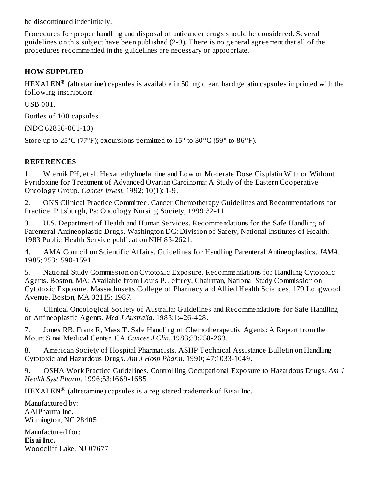be discontinued indefinitely.

Procedures for proper handling and disposal of anticancer drugs should be considered. Several guidelines on this subject have been published (2-9). There is no general agreement that all of the procedures recommended in the guidelines are necessary or appropriate.

## **HOW SUPPLIED**

 $\text{HEXALEN}^{\circledR}$  (altretamine) capsules is available in 50 mg clear, hard gelatin capsules imprinted with the following inscription:

USB 001.

Bottles of 100 capsules

(NDC 62856-001-10)

Store up to  $25^{\circ}$ C (77°F); excursions permitted to  $15^{\circ}$  to  $30^{\circ}$ C (59° to  $86^{\circ}$ F).

## **REFERENCES**

1. Wiernik PH, et al. Hexamethylmelamine and Low or Moderate Dose Cisplatin With or Without Pyridoxine for Treatment of Advanced Ovarian Carcinoma: A Study of the Eastern Cooperative Oncology Group. *Cancer Invest*. 1992; 10(1): 1-9.

2. ONS Clinical Practice Committee. Cancer Chemotherapy Guidelines and Recommendations for Practice. Pittsburgh, Pa: Oncology Nursing Society; 1999:32-41.

3. U.S. Department of Health and Human Services. Recommendations for the Safe Handling of Parenteral Antineoplastic Drugs. Washington DC: Division of Safety, National Institutes of Health; 1983 Public Health Service publication NIH 83-2621.

4. AMA Council on Scientific Affairs. Guidelines for Handling Parenteral Antineoplastics. *JAMA*. 1985; 253:1590-1591.

5. National Study Commission on Cytotoxic Exposure. Recommendations for Handling Cytotoxic Agents. Boston, MA: Available from Louis P. Jeffrey, Chairman, National Study Commission on Cytotoxic Exposure, Massachusetts College of Pharmacy and Allied Health Sciences, 179 Longwood Avenue, Boston, MA 02115; 1987.

6. Clinical Oncological Society of Australia: Guidelines and Recommendations for Safe Handling of Antineoplastic Agents. *Med J Australia*. 1983;1:426-428.

7. Jones RB, Frank R, Mass T. Safe Handling of Chemotherapeutic Agents: A Report from the Mount Sinai Medical Center. CA *Cancer J Clin*. 1983;33:258-263.

8. American Society of Hospital Pharmacists. ASHP Technical Assistance Bulletin on Handling Cytotoxic and Hazardous Drugs. *Am J Hosp Pharm*. 1990; 47:1033-1049.

9. OSHA Work Practice Guidelines. Controlling Occupational Exposure to Hazardous Drugs. *Am J Health Syst Pharm*. 1996;53:1669-1685.

 $\text{HEXALEN}^{\circledR}$  (altretamine) capsules is a registered trademark of Eisai Inc.

Manufactured by: AAIPharma Inc. Wilmington, NC 28405

Manufactured for: **Eisai Inc.** Woodcliff Lake, NJ 07677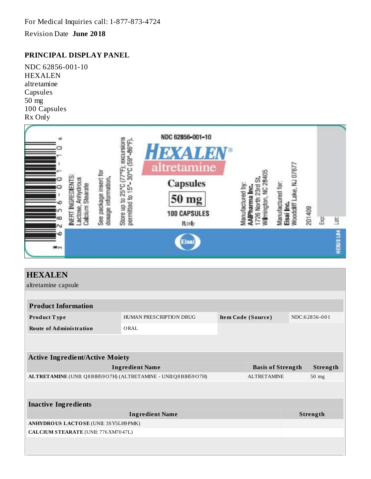For Medical Inquiries call: 1-877-873-4724

Revision Date **June 2018**

#### **PRINCIPAL DISPLAY PANEL**

NDC 62856-001-10 HEXALEN altretamine Capsules 50 mg 100 Capsules Rx Only



| <b>HEXALEN</b>                                                                       |                         |                          |               |  |
|--------------------------------------------------------------------------------------|-------------------------|--------------------------|---------------|--|
| altretamine capsule                                                                  |                         |                          |               |  |
|                                                                                      |                         |                          |               |  |
| <b>Product Information</b>                                                           |                         |                          |               |  |
| Product Type                                                                         | HUMAN PRESCRIPTION DRUG | Item Code (Source)       | NDC:62856-001 |  |
| <b>Route of Administration</b>                                                       | ORAL                    |                          |               |  |
|                                                                                      |                         |                          |               |  |
|                                                                                      |                         |                          |               |  |
| <b>Active Ingredient/Active Moiety</b>                                               |                         |                          |               |  |
|                                                                                      | <b>Ingredient Name</b>  | <b>Basis of Strength</b> | Strength      |  |
| ALTRETAMINE (UNII: Q8BIH59O7H) (ALTRETAMINE - UNII:Q8BIH59O7H)<br><b>ALTRETAMINE</b> |                         | 50 mg                    |               |  |
|                                                                                      |                         |                          |               |  |
|                                                                                      |                         |                          |               |  |
| <b>Inactive Ingredients</b>                                                          |                         |                          |               |  |
|                                                                                      | <b>Ingredient Name</b>  |                          | Strength      |  |
| ANHYDROUS LACTOSE (UNII: 3SY5LH9 PMK)                                                |                         |                          |               |  |
| <b>CALCIUM STEARATE (UNII: 776 XM70 47L)</b>                                         |                         |                          |               |  |
|                                                                                      |                         |                          |               |  |
|                                                                                      |                         |                          |               |  |